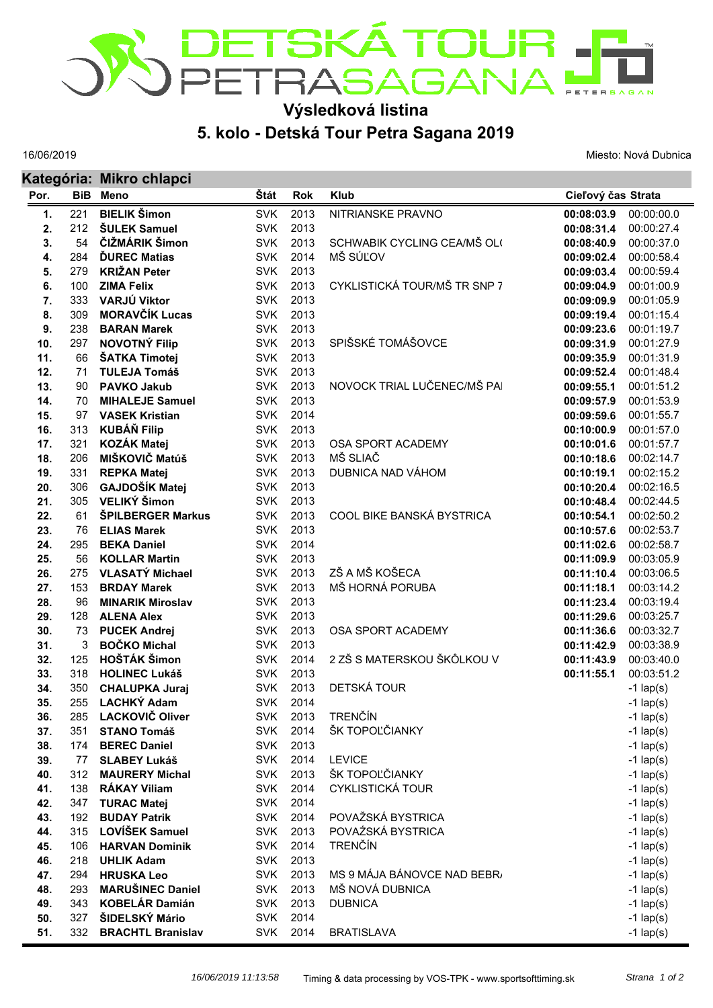

## **Výsledková listina**

## **5. kolo - Detská Tour Petra Sagana 2019**

16/06/2019

**Kategória: Mikro chlapci**

Miesto: Nová Dubnica

| Por.       |           | Ralogona, mikro chiapol<br><b>BiB</b> Meno   | Štát                     | <b>Rok</b>   | <b>Klub</b>                  | Cieľový čas Strata       |                          |
|------------|-----------|----------------------------------------------|--------------------------|--------------|------------------------------|--------------------------|--------------------------|
| 1.         | 221       | <b>BIELIK Šimon</b>                          | <b>SVK</b>               | 2013         | NITRIANSKE PRAVNO            | 00:08:03.9               | 00:00:00.0               |
| 2.         | 212       | <b>ŠULEK Samuel</b>                          | <b>SVK</b>               | 2013         |                              | 00:08:31.4               | 00:00:27.4               |
| 3.         | 54        | ČIŽMÁRIK Šimon                               | <b>SVK</b>               | 2013         | SCHWABIK CYCLING CEA/MŠ OL(  | 00:08:40.9               | 00:00:37.0               |
| 4.         | 284       | <b>DUREC Matias</b>                          | <b>SVK</b>               | 2014         | MŠ SÚĽOV                     | 00:09:02.4               | 00:00:58.4               |
| 5.         | 279       | <b>KRIŽAN Peter</b>                          | <b>SVK</b>               | 2013         |                              | 00:09:03.4               | 00:00:59.4               |
| 6.         | 100       | <b>ZIMA Felix</b>                            | <b>SVK</b>               | 2013         | CYKLISTICKÁ TOUR/MŠ TR SNP 7 | 00:09:04.9               | 00:01:00.9               |
| 7.         | 333       | VARJÚ Viktor                                 | <b>SVK</b>               | 2013         |                              | 00:09:09.9               | 00:01:05.9               |
| 8.         | 309       | <b>MORAVČÍK Lucas</b>                        | <b>SVK</b>               | 2013         |                              | 00:09:19.4               | 00:01:15.4               |
| 9.         | 238       | <b>BARAN Marek</b>                           | <b>SVK</b>               | 2013         |                              | 00:09:23.6               | 00:01:19.7               |
| 10.        | 297       | <b>NOVOTNÝ Filip</b>                         | <b>SVK</b>               | 2013         | SPIŠSKÉ TOMÁŠOVCE            | 00:09:31.9               | 00:01:27.9               |
| 11.        | 66        | ŠATKA Timotej                                | <b>SVK</b>               | 2013         |                              | 00:09:35.9               | 00:01:31.9               |
| 12.        | 71        | <b>TULEJA Tomáš</b>                          | <b>SVK</b>               | 2013         |                              | 00:09:52.4               | 00:01:48.4               |
| 13.        | 90        | <b>PAVKO Jakub</b>                           | <b>SVK</b>               | 2013         | NOVOCK TRIAL LUČENEC/MŠ PAI  | 00:09:55.1               | 00:01:51.2               |
| 14.        | 70        | <b>MIHALEJE Samuel</b>                       | <b>SVK</b>               | 2013         |                              | 00:09:57.9               | 00:01:53.9               |
| 15.        | 97        | <b>VASEK Kristian</b>                        | <b>SVK</b>               | 2014         |                              | 00:09:59.6               | 00:01:55.7               |
| 16.        | 313       | <b>KUBÁŇ Filip</b>                           | <b>SVK</b>               | 2013         |                              | 00:10:00.9               | 00:01:57.0               |
| 17.        | 321       | <b>KOZÁK Matej</b>                           | <b>SVK</b>               | 2013         | OSA SPORT ACADEMY            | 00:10:01.6               | 00:01:57.7               |
| 18.        | 206       | MIŠKOVIČ Matúš                               | <b>SVK</b>               | 2013         | MŠ SLIAČ                     | 00:10:18.6               | 00:02:14.7               |
| 19.        | 331       | <b>REPKA Matej</b>                           | <b>SVK</b>               | 2013         | DUBNICA NAD VÁHOM            | 00:10:19.1               | 00:02:15.2               |
| 20.        | 306       | GAJDOŠÍK Matej                               | <b>SVK</b>               | 2013         |                              | 00:10:20.4               | 00:02:16.5               |
| 21.        | 305       | VELIKÝ Šimon                                 | <b>SVK</b>               | 2013         |                              | 00:10:48.4               | 00:02:44.5               |
| 22.        | 61        | ŠPILBERGER Markus                            | <b>SVK</b>               | 2013         | COOL BIKE BANSKÁ BYSTRICA    | 00:10:54.1               | 00:02:50.2               |
| 23.        | 76        | <b>ELIAS Marek</b>                           | <b>SVK</b>               | 2013         |                              | 00:10:57.6               | 00:02:53.7               |
| 24.        | 295       | <b>BEKA Daniel</b>                           | <b>SVK</b>               | 2014         |                              | 00:11:02.6               | 00:02:58.7               |
| 25.        | 56        | <b>KOLLAR Martin</b>                         | <b>SVK</b>               | 2013         | ZŠ A MŠ KOŠECA               | 00:11:09.9               | 00:03:05.9               |
| 26.        | 275       | <b>VLASATÝ Michael</b>                       | <b>SVK</b><br><b>SVK</b> | 2013<br>2013 | MŠ HORNÁ PORUBA              | 00:11:10.4               | 00:03:06.5               |
| 27.<br>28. | 153<br>96 | <b>BRDAY Marek</b>                           | <b>SVK</b>               | 2013         |                              | 00:11:18.1               | 00:03:14.2<br>00:03:19.4 |
| 29.        | 128       | <b>MINARIK Miroslav</b><br><b>ALENA Alex</b> | <b>SVK</b>               | 2013         |                              | 00:11:23.4<br>00:11:29.6 | 00:03:25.7               |
| 30.        | 73        | <b>PUCEK Andrej</b>                          | <b>SVK</b>               | 2013         | OSA SPORT ACADEMY            | 00:11:36.6               | 00:03:32.7               |
| 31.        | 3         | <b>BOČKO Michal</b>                          | <b>SVK</b>               | 2013         |                              | 00:11:42.9               | 00:03:38.9               |
| 32.        | 125       | <b>HOŠTÁK Šimon</b>                          | <b>SVK</b>               | 2014         | 2 ZŠ S MATERSKOU ŠKÔLKOU V   | 00:11:43.9               | 00:03:40.0               |
| 33.        | 318       | <b>HOLINEC Lukáš</b>                         | <b>SVK</b>               | 2013         |                              | 00:11:55.1               | 00:03:51.2               |
| 34.        | 350       | <b>CHALUPKA Juraj</b>                        | <b>SVK</b>               | 2013         | DETSKÁ TOUR                  |                          | $-1$ lap(s)              |
| 35.        | 255       | <b>LACHKÝ Adam</b>                           | <b>SVK</b>               | 2014         |                              |                          | $-1$ lap(s)              |
| 36.        |           | 285 LACKOVIČ Oliver                          |                          | SVK 2013     | <b>TRENČÍN</b>               |                          | $-1$ lap(s)              |
| 37.        | 351       | <b>STANO Tomáš</b>                           | SVK                      | 2014         | ŠK TOPOĽČIANKY               |                          | $-1$ lap(s)              |
| 38.        | 174       | <b>BEREC Daniel</b>                          | <b>SVK</b>               | 2013         |                              |                          | $-1$ lap(s)              |
| 39.        | 77        | <b>SLABEY Lukáš</b>                          | <b>SVK</b>               | 2014         | <b>LEVICE</b>                |                          | $-1$ lap(s)              |
| 40.        | 312       | <b>MAURERY Michal</b>                        | <b>SVK</b>               | 2013         | ŠK TOPOĽČIANKY               |                          | $-1$ lap(s)              |
| 41.        | 138       | <b>RÁKAY Viliam</b>                          | <b>SVK</b>               | 2014         | <b>CYKLISTICKÁ TOUR</b>      |                          | $-1$ lap(s)              |
| 42.        | 347       | <b>TURAC Matej</b>                           | <b>SVK</b>               | 2014         |                              |                          | $-1$ lap(s)              |
| 43.        | 192       | <b>BUDAY Patrik</b>                          | <b>SVK</b>               | 2014         | POVAŽSKÁ BYSTRICA            |                          | $-1$ lap(s)              |
| 44.        | 315       | LOVÍŠEK Samuel                               | <b>SVK</b>               | 2013         | POVAŹSKÁ BYSTRICA            |                          | $-1$ lap(s)              |
| 45.        | 106       | <b>HARVAN Dominik</b>                        | <b>SVK</b>               | 2014         | <b>TRENČÍN</b>               |                          | $-1$ lap(s)              |
| 46.        | 218       | <b>UHLIK Adam</b>                            | <b>SVK</b>               | 2013         |                              |                          | $-1$ lap(s)              |
| 47.        | 294       | <b>HRUSKA Leo</b>                            | <b>SVK</b>               | 2013         | MS 9 MÁJA BÁNOVCE NAD BEBR/  |                          | $-1$ lap(s)              |
| 48.        | 293       | <b>MARUŠINEC Daniel</b>                      | <b>SVK</b>               | 2013         | MŠ NOVÁ DUBNICA              |                          | $-1$ lap(s)              |
| 49.        | 343       | <b>KOBELÁR Damián</b>                        | <b>SVK</b>               | 2013         | <b>DUBNICA</b>               |                          | $-1$ lap(s)              |
| 50.        | 327       | ŠIDELSKÝ Mário                               | <b>SVK</b>               | 2014         |                              |                          | $-1$ lap(s)              |
| 51.        | 332       | <b>BRACHTL Branislav</b>                     | <b>SVK</b>               | 2014         | <b>BRATISLAVA</b>            |                          | $-1$ lap(s)              |